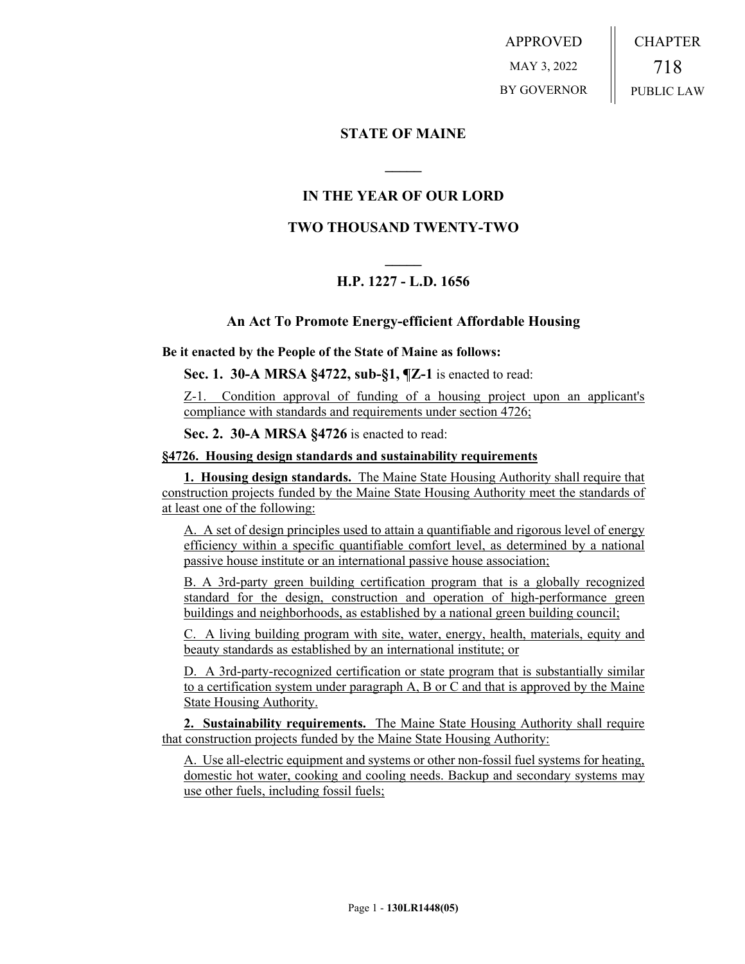APPROVED MAY 3, 2022 BY GOVERNOR CHAPTER 718 PUBLIC LAW

## **STATE OF MAINE**

# **IN THE YEAR OF OUR LORD**

**\_\_\_\_\_**

### **TWO THOUSAND TWENTY-TWO**

# **\_\_\_\_\_ H.P. 1227 - L.D. 1656**

### **An Act To Promote Energy-efficient Affordable Housing**

### **Be it enacted by the People of the State of Maine as follows:**

**Sec. 1. 30-A MRSA §4722, sub-§1, ¶Z-1** is enacted to read:

Z-1. Condition approval of funding of a housing project upon an applicant's compliance with standards and requirements under section 4726;

**Sec. 2. 30-A MRSA §4726** is enacted to read:

#### **§4726. Housing design standards and sustainability requirements**

**1. Housing design standards.** The Maine State Housing Authority shall require that construction projects funded by the Maine State Housing Authority meet the standards of at least one of the following:

A. A set of design principles used to attain a quantifiable and rigorous level of energy efficiency within a specific quantifiable comfort level, as determined by a national passive house institute or an international passive house association;

B. A 3rd-party green building certification program that is a globally recognized standard for the design, construction and operation of high-performance green buildings and neighborhoods, as established by a national green building council;

C. A living building program with site, water, energy, health, materials, equity and beauty standards as established by an international institute; or

D. A 3rd-party-recognized certification or state program that is substantially similar to a certification system under paragraph A, B or C and that is approved by the Maine State Housing Authority.

**2. Sustainability requirements.** The Maine State Housing Authority shall require that construction projects funded by the Maine State Housing Authority:

A. Use all-electric equipment and systems or other non-fossil fuel systems for heating, domestic hot water, cooking and cooling needs. Backup and secondary systems may use other fuels, including fossil fuels;